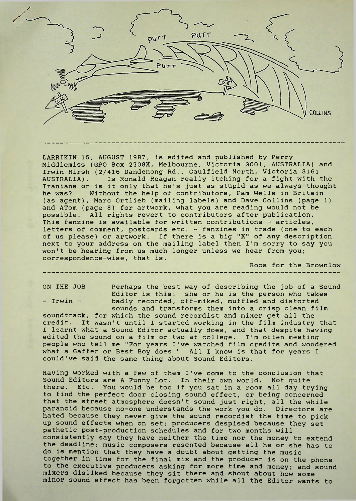

LARRIKIN 15, AUGUST 1987, is edited and published by Perry Middlemiss (GPO Box 2708X, Melbourne, Victoria 3001, AUSTRALIA) and Irwin Hirsh (2/416 Dandenong Rd., Caulfield North, Victoria 3161 AUSTRALIA). Is Ronald Reagan really itching for a fight with the Iranians or is it only that he's just as stupid as we always thought he was? Without the help of contributors, Pam Wells in Britain (as agent), Marc Ortlieb (mailing labels) and Dave Collins (page 1) and ATom (page 8) for artwork, what you are reading would not be possible. All rights revert to contributors after publication. This fanzine is available for written contributions - articles, letters of comment, postcards etc. - fanzines in trade (one to each of us please) or artwork. If there is a big "X" of any description next to your address on the mailing label then I'm sorry to say you won't be hearing from us much longer unless we hear from you; correspondence-wise, that is.

Roos for the Brownlow

ON THE JOB Perhaps the best way of describing the job of a Sound Editor is this: she or he is the person who takes - Irwin - badly recorded, off-miked, muffled and distorted sounds and transforms them into a crisp clean film soundtrack, for which the sound recordist and mixer get all the credit. It wasn't until <sup>I</sup> started working in the film industry that I learnt what a Sound Editor actually does, and that despite having edited the sound on a film or two at college. I'm often meeting

Having worked with a few of them I've come to the conclusion that Sound Editors are A Funny Lot. In their own world. Not quite there. Etc. You would be too if you sat in a room all day trying to find the perfect door closing sound effect, or being concerned that the street atmosphere doesn't sound just right, all the while paranoid because no-one understands the work you do. Directors are hated because they never give the sound recordist the time to pick up sound effects when on set; producers despised because they set pathetic post-production schedules and for two months will consistently say they have neither the time nor the money to extend the deadline; music composers resented because all he or she has to do is mention that they have a doubt about getting the music together in time for the final mix and the producer is on the phone to the executive producers asking for more time and money; and sound mixers disliked because they sit there and shout about how some minor sound effect has been forgotten while all the Editor wants to

people who tell me "For years I've watched film credits and wondered what a Gaffer or Best Boy does." All <sup>I</sup> know is that for years <sup>I</sup>

could've said the same thing about Sound Editors.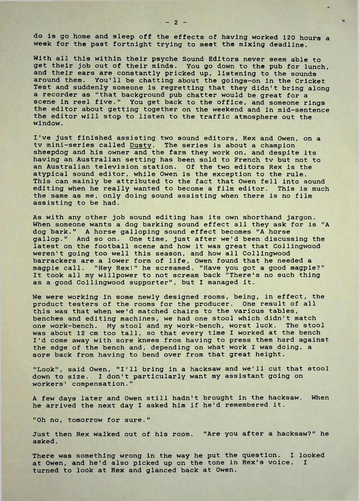do is go home and sleep off the effects of having worked 120 hours a week for the past fortnight trying to meet the mixing deadline.

With all this within their psyche Sound Editors never seem able to get their job out of their minds. You go down to the pub for lunch, and their ears are constantly pricked up, listening to the sounds around them. You'll be chatting about the goings-on in the Cricket Test and suddenly someone is regretting that they didn't bring along a recorder as "that background pub chatter would be great for a scene in reel five." You get back to the office, and someone rings the editor about getting together on the weekend and in mid-sentence the editor will stop to listen to the traffic atmosphere out the window.

I've just finished assisting two sound editors, Rex and Owen, on a tv mini-series called Dusty. The series is about a champion sheepdog and his owner and the farm they work on, and despite its having an Australian setting has been sold to French tv but not to an Australian television station. Of the two editors Rex is the atypical sound editor, while Owen is the exception to the rule. This can mainly be attributed to the fact that Owen fell into sound editing when he really wanted to become a film editor. This is much the same as me, only doing sound assisting when there is no film assisting to be had.

As with any other job sound editing has its own shorthand jargon. When someone wants a dog barking sound effect all they ask for is "A dog bark." A horse galloping sound effect becomes "A horse gallop." And so on. One time, just after we'd been discussing the latest on the football scene and how it was great that Collingwood weren't going too well this season, and how all Collingwood barrackers are a lower form of life, Owen found that he needed a magpie call. "Hey Rex!" he screamed. "Have you got a good magpie?" It took all my willpower to not scream back "There's no such thing as a good Collingwood supporter", but <sup>I</sup> managed it.

We were working in some newly designed rooms, being, in effect, the product testers of the rooms for the producer. One result of all this was that when we'd matched chairs to the various tables, benches and editing machines, we had one stool which didn't match one work-bench. My stool and my work-bench, worst luck. The stool was about 12 cm too tall, so that every time <sup>I</sup> worked at the bench I'd come away with sore knees from having to press them hard against the edge of the bench and, depending on what work <sup>I</sup> was doing, a sore back from having to bend over from that great height.

"Look", said Owen, "I'll bring in a hacksaw and we'll cut that stool down to size. <sup>I</sup> don't particularly want my assistant going on workers' compensation."

A few days later and Owen still hadn't brought in the hacksaw. When he arrived the next day <sup>I</sup> asked him if he'd remembered it.

"Oh no, tomorrow for sure."

Just then Rex walked out of his room. "Are you after a hacksaw?" he asked.

There was something wrong in the way he put the question. I looked at Owen, and he'd also picked up on the tone in Rex's voice. <sup>I</sup> turned to look at Rex and glanced back at Owen.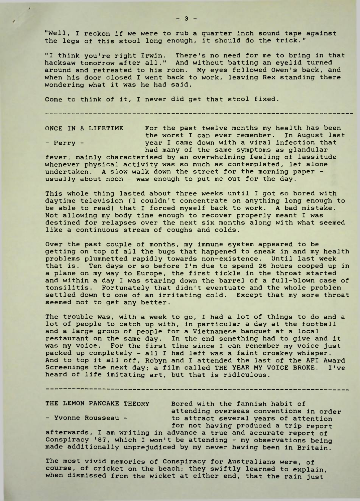"Well, I reckon if we were to rub a quarter inch sound tape against the legs of this stool long enough, it should do the trick."

"I think you're right Irwin. There's no need for me to bring in that hacksaw tomorrow after all." And without batting an eyelid turned around and retreated to his room. My eyes followed Owen's back, and when his door closed <sup>I</sup> went back to work, leaving Rex standing there wondering what it was he had said.

-------------------------------

Come to think of it, I never did get that stool fixed.

ONCE IN A LIFETIME For the past twelve months my health has been the worst <sup>I</sup> can ever remember. In August last - Perry - year I came down with a viral infection that had many of the same symptoms as glandular

fever; mainly characterised by an overwhelming feeling of lassitude whenever physical activity was so much as contemplated, let alone undertaken. A slow walk down the street for the morning paper usually about noon - was enough to put me out for the day.

This whole thing lasted about three weeks until I got so bored with daytime television (I couldn't concentrate on anything long enough to be able to read) that <sup>I</sup> forced myself back to work. A bad mistake. Not allowing my body time enough to recover properly meant <sup>I</sup> was destined for relapses over the next six months along with what seemed like a continuous stream of coughs and colds.

Over the past couple of months, my immune system appeared to be getting on top of all the bugs that happened to sneak in and my health problems plummetted rapidly towards non-existence. Until last week that is. Ten days or so before I'm due to spend 26 hours cooped up in a plane on my way to Europe, the first tickle in the throat started and within a day <sup>I</sup> was staring down the barrel of a full-blown case of tonsilitis. Fortunately that didn't eventuate and the whole problem settled down to one of an irritating cold. Except that my sore throat seemed not to get any better.

The trouble was, with a week to go, I had a lot of things to do and a lot of people to catch up with, in particular a day at the football and a large group of people for a Vietnamese banquet at a local restaurant on the same day. In the end something had to give and it was my voice. For the first time since I can remember my voice just packed up completely - all <sup>I</sup> had left was a faint croakey whisper. And to top it all off, Robyn and I attended the last of the AFI Award Screenings the next day; a film called THE YEAR MY VOICE BROKE. I've heard of life imitating art, but that is ridiculous.

THE LEMON PANCAKE THEORY Bored with the fannish habit of attending overseas conventions in order - Yvonne Rousseau - to attract several years of attention for not having produced a trip report

afterwards, I am writing in advance a true and accurate report of Conspiracy '87, which I won't be attending - my observations being made additionally unprejudiced by my never having been in Britain.

------------

The most vivid memories of Conspiracy for Australians were, of course, of cricket on the beach; they swiftly learned to explain, when dismissed from the wicket at either end, that the rain just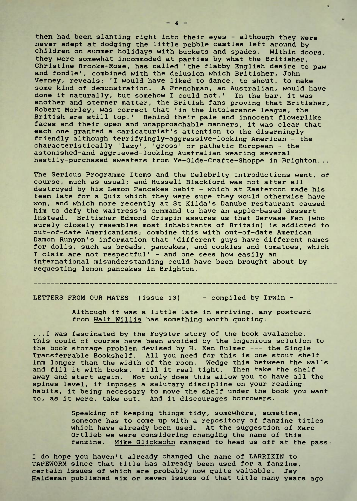then had been slanting right into their eyes - although they were never adept at dodging the little pebble castles left around by children on summer holidays with buckets and spades. Within doors, they were somewhat incommoded at parties by what the Britisher, Christine Brooke-Rose, has called 'the flabby English desire to paw and fondle', combined with the delusion which Britisher, John Verney, reveals: 'I would have liked to dance, to shout, to make some kind of demonstration. A Frenchman, an Australian, would have done it naturally, but somehow I could not.' In the bar, it was another and sterner matter, the British fans proving that Britisher, Robert Morley, was correct that 'in the intolerance league, the British are still top.' Behind their pale and innocent flowerlike faces and their open and unapproachable manners, it was clear that each one granted a caricaturist's attention to the disarmingly friendly although terrifyingly-aggressive-looking American - the characteristically 'lazy', 'gross' or pathetic European - the astonished-and-aggrieved-looking Australian wearing several hastily-purchased sweaters from Ye-Olde-Crafte-Shoppe in Brighton...

The Serious Programme Items and the Celebrity Introductions went, of course, much as usual; and Russell Blackford was not after all destroyed by his Lemon Pancakes habit - which at Eastercon made his team late for a Quiz which they were sure they would otherwise have won, and which more recently at St Kllda's Danube restaurant caused him to defy the waitress's command to have an apple-based dessert instead. Britisher Edmond Crispin assures us that Gervase Fen (who surely closely resembles most inhabitants of Britain) is addicted to out-of-date Americanisms; combine this with out-of-date American Damon Runyon's information that 'different guys have different names for dolls, such as broads, pancakes, and cookies and tomatoes, which I claim are not respectful' - and one sees how easily an international misunderstanding could have been brought about by requesting lemon pancakes in Brighton.

LETTERS FROM OUR MATES (issue 13) - compiled by Irwin -

Although it was a little late in arriving, any postcard from Walt Willis has something worth quoting:

...I was fascinated by the Foyster story of the book avalanche. This could of course have been avoided by the ingenious solution to the book storage problem devised by H. Ken Bulmer --- the Single Transferrable Bookshelf. All you need for this is one stout shelf 1mm longer than the width of the room. Wedge this between the walls and fill it with books. Fill it real tight. Then take the shelf away and start again. Not only does this allow you to have all the spines level, it imposes a salutary discipline on your reading habits, it being necessary to move the shelf under the book you want to, as it were, take out. And it discourages borrowers.

> Speaking of keeping things tidy, somewhere, sometime, someone has to come up with a repository of fanzine titles which have already been used. At the suggestion of Marc Ortlieb we were considering changing the name of this fanzine. Mike Glicksohn managed to head us off at the pass:

<sup>I</sup> do hope you haven't already changed the name of LARRIKIN to TAPEWORM since that title has already been used for a fanzine, certain issues of which are probably now quite valuable. Jay Haldeman published six or seven issues of that title many years ago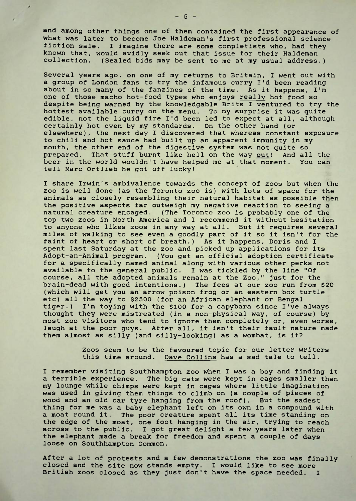and among other things one of them contained the first appearance of what was later to become Joe Haldeman's first professional science fiction sale. <sup>I</sup> imagine there are some completists who, had they known that, would avidly seek out that issue for their Haldeman collection. (Sealed bids may be sent to me at my usual address.)

Several years ago, on one of my returns to Britain, I went out with a group of London fans to try the infamous curry I'd been reading about in so many of the fanzines of the time. As it happens, I'm one of those macho hot-food types who enjoys really hot food so despite being warned by the knowledgable Brits <sup>I</sup> ventured to try the hottest available curry on the menu. To my surprise it was quite edible, not the liquid fire I'd been led to expect at all, although certainly hot even by my standards. On the other hand (or elsewhere), the next day <sup>I</sup> discovered that whereas constant exposure to chili and hot sauce had built up an apparent immunity in my mouth, the other end of the digestive system was not quite so prepared. That stuff burnt like hell on the way out! And all the beer in the world wouldn't have helped me at that moment. You can tell Marc Ortlieb he got off lucky!

I share Irwin's ambivalence towards the concept of zoos but when the zoo is well done (as the Toronto zoo is) with lots of space for the animals as closely resembling their natural habitat as possible then the positive aspects far outweigh my negative reaction to seeing a natural creature encaged. (The Toronto zoo is probably one of the top two zoos in North America and <sup>I</sup> recommend it without hesitation to anyone who likes zoos in any way at all. But it requires several miles of walking to see even a goodly part of it so it isn't for the faint of heart or short of breath.) As it happens, Doris and <sup>I</sup> spent last Saturday at the zoo and picked up applications for its Adopt-an-Animal program. (You get an official adoption certificate for a specifically named animal along with various other perks not available to the general public. I was tickled by the line "Of course, all the adopted animals remain at the Zoo," just for the brain-dead with good intentions.) The fees at our zoo run from \$20 (which will get you an arrow poison frog or an eastern box turtle etc) all the way to \$2500 (for an African elephant or Bengal tiger.) I'm toying with the \$100 for a capybara since I've always thought they were mistreated (in a non-physical way, of course) by most zoo visitors who tend to ignore them completely or, even worse, laugh at the poor guys. After all, it isn't their fault nature made them almost as silly (and silly-looking) as a wombat, is it?

> Zoos seem to be the favoured topic for our letter writers this time around. Dave Collins has a sad tale to tell.

I remember visiting Southhampton zoo when I was a boy and finding it a terrible experience. The big cats were kept in cages smaller than my lounge while chimps were kept in cages where little imagination was used in giving them things to climb on (a couple of pieces of wood and an old car tyre hanging from the roof). But the sadest thing for me was a baby elephant left on its own in a compound with a moat round it. The poor creature spent all its time standing on the edge of the moat, one foot hanging in the air, trying to reach across to the public. <sup>I</sup> got great delight a few years later when the elephant made a break for freedom and spent a couple of days loose on Southhampton Common.

After a lot of protests and a few demonstrations the zoo was finally closed and the site now stands empty. I would like to see more British zoos closed as they just don't have the space needed. I

 $-5 -$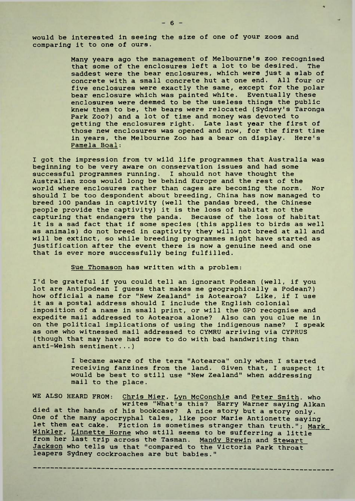would be interested in seeing the size of one of your zoos and comparing it to one of ours.

> Many years ago the management of Melbourne's zoo recognised that some of the enclosures left a lot to be desired. The saddest were the bear enclosures, which were just a slab of concrete with a small concrete hut at one end. All four or five enclosures were exactly the same, except for the polar bear enclosure which was painted white. Eventually these enclosures were deemed to be the useless things the public knew them to be, the bears were relocated (Sydney's Taronga Park Zoo?) and a lot of time and money was devoted to getting the enclosures right. Late last year the first of those new enclosures was opened and now, for the first time in years, the Melbourne Zoo has a bear on display. Here's Pamela Boal:

I got the impression from tv wild life programmes that Australia was beginning to be very aware on conservation issues and had some successful programmes running. I should not have thought the Australian zoos would long be behind Europe and the rest of the world where enclosures rather than cages are becoming the norm. Nor should <sup>I</sup> be too despondent about breeding, China has now managed to breed 100 pandas in captivity (well the pandas breed, the Chinese people provide the captivity) it is the loss of habitat not the capturing that endangers the panda. Because of the loss of habitat it is a sad fact that if some species (this applies to birds as well as animals) do not breed in captivity they will not breed at all and will be extinct, so while breeding programmes might have started as justification after the event there is now a genuine need and one that is ever more successfully being fulfilled.

Sue Thomason has written with a problem:

I'd be grateful if you could tell an ignorant Podean (well, if you lot are Antipodean <sup>I</sup> guess that makes me geographically a Podean?) how official a name for "New Zealand" is Aotearoa? Like, if <sup>I</sup> use it as a postal address should I include the English colonial imposition of a name in small print, or will the GPO recognise and expedite mail addressed to Aotearoa alone? Also can you clue me in on the political implications of using the indigenous name? I speak as one who witnessed mail addressed to CYMRU arriving via CYPRUS (though that may have had more to do with bad handwriting than anti-Welsh sentiment...)

> <sup>I</sup> became aware of the term "Aotearoa" only when <sup>I</sup> started receiving fanzines from the land. Given that, <sup>I</sup> suspect it would be best to still use "New Zealand" when addressing mail to the place.

WE ALSO HEARD FROM: Chris Mier, Lyn McConchie and Peter Smith, who writes "What's this? Harry Warner saying Alkan died at the hands of his bookcase? A nice story but a story only. One of the many apocryphal tales, like poor Marie Antionette saying let them eat cake. Fiction is sometimes stranger than truth."; Mark Winkler, Linnette Horne who still seems to be sufferring a little from her last trip across the Tasman. Mandy Brewin and Stewart Jackson who tells us that "compared to the Victoria Park throat leapers Sydney cockroaches are but babies."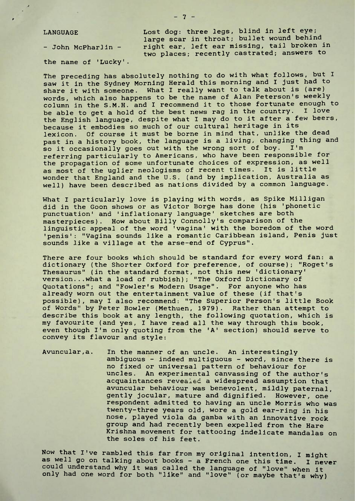$\ddot{\phantom{0}}$ 

the name of 'Lucky'.

LANGUAGE Lost dog: three legs, blind in left eye; large scar in throat; bullet wound behind - John McPharlin - right ear, left ear missing, tail broken in two places; recently castrated; answers to

The preceding has absolutely nothing to do with what follows, but <sup>I</sup> saw it in the Sydney Morning Herald this morning and <sup>I</sup> just had to share it with someone. What I really want to talk about is (are) words, which also happens to be the name of Alan Peterson's weekly column in the S.M.H. and I recommend it to those fortunate enough to be able to get a hold of the best news rag in the country. I love be able to get a hold of the best news rag in the country. the English language, despite what I may do to it after a few beers, because it embodies so much of our cultural heritage in its lexicon. Of course it must be borne in mind that, unlike the dead past in a history book, the language is a living, changing thing and so it occasionally goes out with the wrong sort of boy. I'm referring particularly to Americans, who have been responsible for the propagation of some unfortunate choices of expression, as well as most of the uglier neologisms of recent times. It is little wonder that England and the U.S. (and by implication, Australia as well) have been described as nations divided by a common language.

What <sup>I</sup> particularly love is playing with words, as Spike Milligan did in the Goon shows or as Victor Borge has done (his 'phonetic punctuation' and 'inflationary language' sketches are both masterpieces). How about Billy Connolly's comparison of the linguistic appeal of the word 'vagina' with the boredom of the word 'penis': "Vagina sounds like a romantic Caribbean island, Penis just sounds like a village at the arse-end of Cyprus".

There are four books which should be standard for every word fan: a dictionary (the Shorter Oxford for preference, of course); "Roget's Thesaurus" (in the standard format, not this new 'dictionary' version... what a load of rubbish); "The Oxford Dictionary of Quotations"; and "Fowler's Modern Usage". For anyone who has already worn out the entertainment value of these (if that's possible), may <sup>I</sup> also recommend: "The Superior Person's little Book of Words" by Peter Bowler (Methuen, 1979). Rather than attempt to describe this book at any length, the following quotation, which is my favourite (and yes, <sup>I</sup> have read all the way through this book, even though I'm only quoting from the 'A' section) should serve to convey its flavour and style:

Avuncular,a. In the manner of an uncle. An interestingly ambiguous - indeed multiguous - word, since there is no fixed or universal pattern of behaviour for uncles. An experimental canvassing of the author's acquaintances revealed a widespread assumption that avuncular behaviour was benevolent, mildly paternal, gently jocular, mature and dignified. However, one respondent admitted to having an uncle Morris who was twenty-three years old, wore a gold ear-ring in his nose, played viola da gamba with an innovative rock group and had recently been expelled from the Hare Krishna movement for tattooing indelicate mandalas on the soles of his feet.

Now that I've rambled this far from my original intention, <sup>I</sup> might as well go on talking about books - a French one this time. I never could understand why it was called the language of "love" when it only had one word for both "like" and "love" (or maybe that's why)

 $-7-$